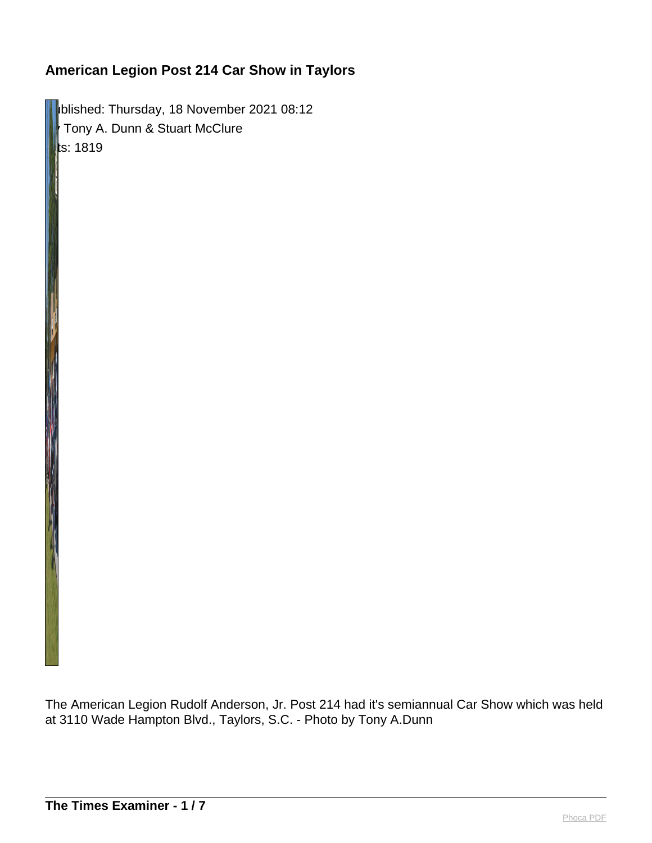**IDURISHED: Thursday, 18 November 2021 08:12** Tony A. Dunn & Stuart McClure  $\|$ ts: 1819

The American Legion Rudolf Anderson, Jr. Post 214 had it's semiannual Car Show which was held at 3110 Wade Hampton Blvd., Taylors, S.C. - Photo by Tony A.Dunn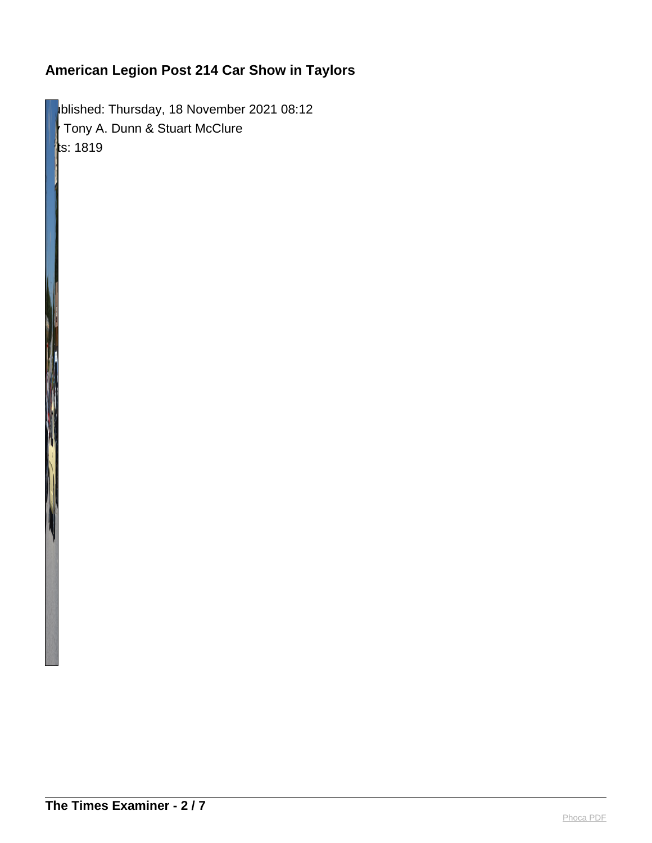blished: Thursday, 18 November 2021 08:12 Tony A. Dunn & Stuart McClure  $\parallel$ ts: 1819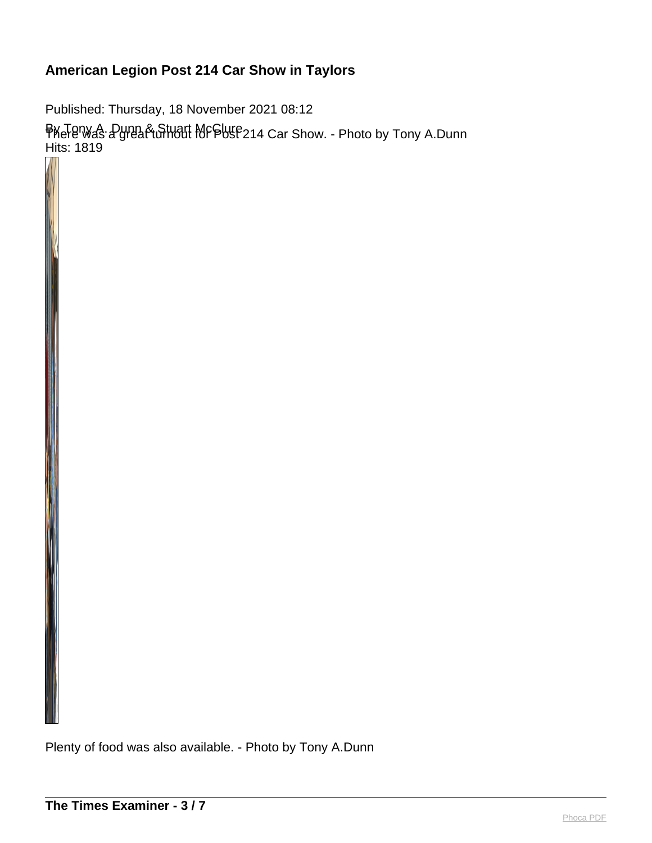Published: Thursday, 18 November 2021 08:12 By Tony A. Dunn & Stuart McClure There was a great turnout for Post 214 Car Show. - Photo by Tony A.Dunn Hits: 1819

Plenty of food was also available. - Photo by Tony A.Dunn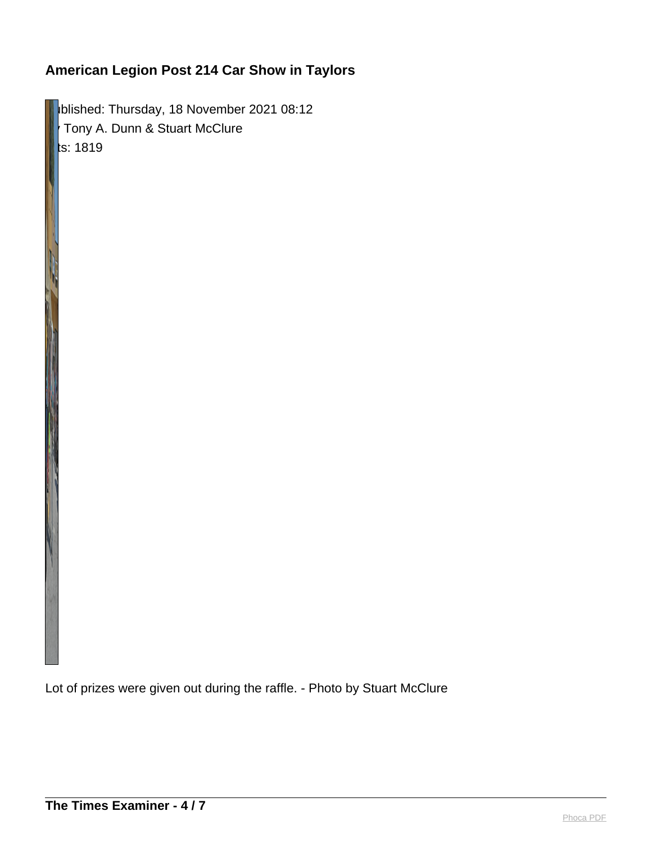**Published: Thursday, 18 November 2021 08:12** By Tony A. Dunn & Stuart McClure  $ts: 1819$ 

Lot of prizes were given out during the raffle. - Photo by Stuart McClure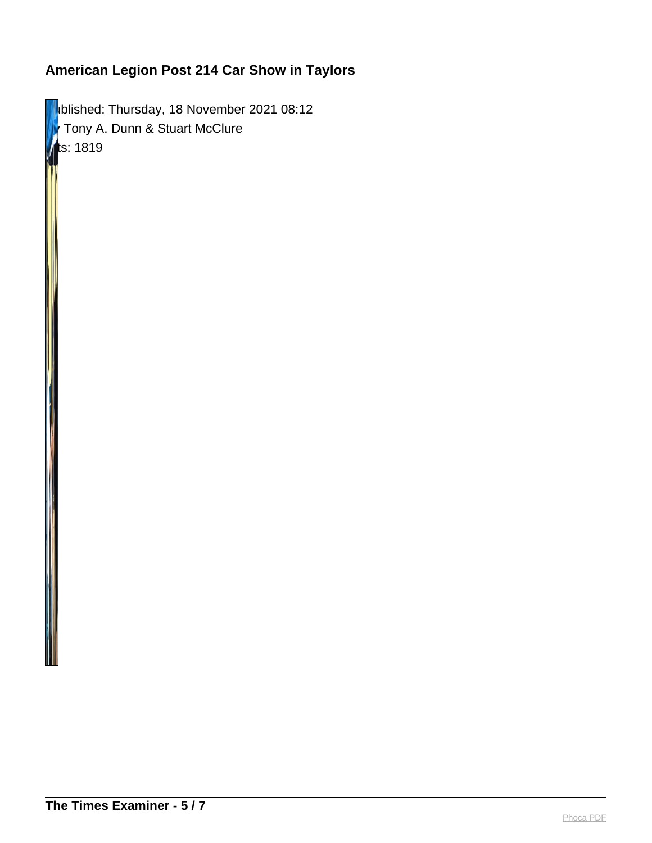**Published: Thursday, 18 November 2021 08:12 F** Tony A. Dunn & Stuart McClure  $ts: 1819$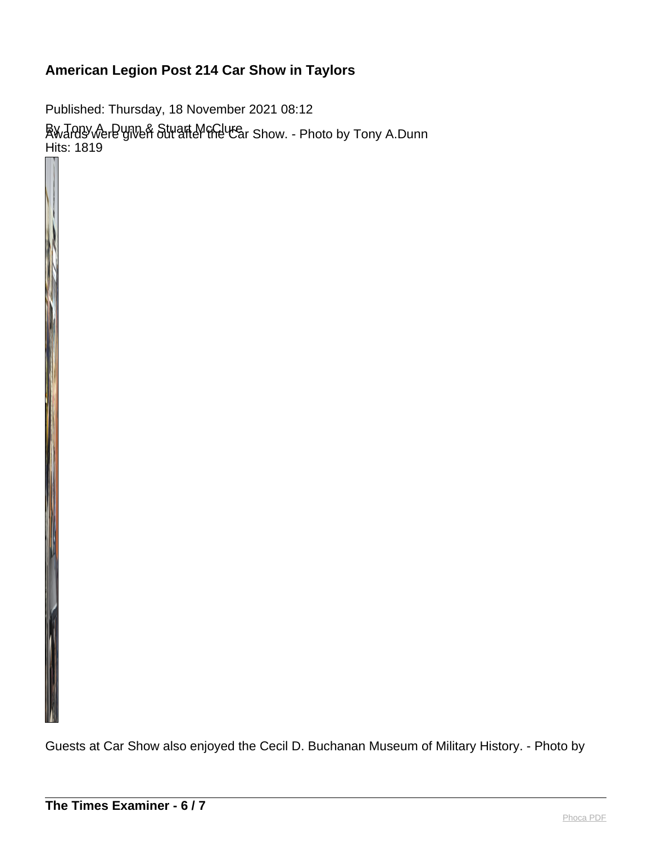Published: Thursday, 18 November 2021 08:12 By Tony A. Dunn & Stuart McClure Awards were given out after the Car Show. - Photo by Tony A.Dunn Hits: 1819